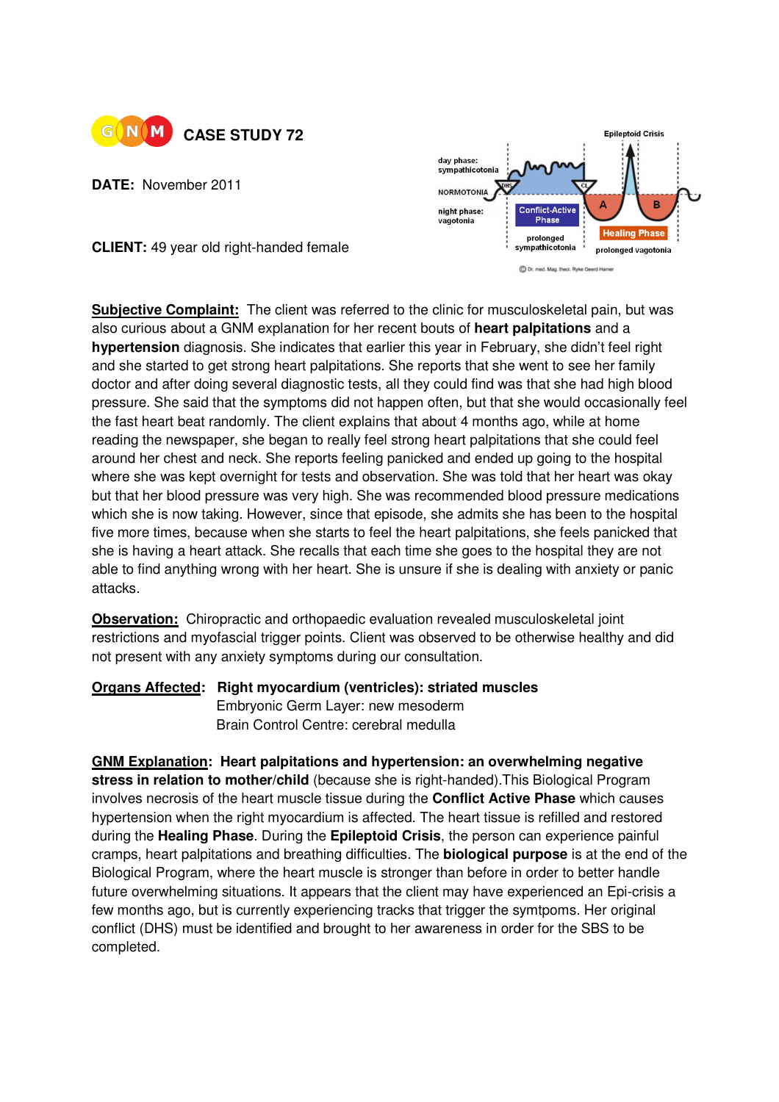

**DATE:** November 2011

**CLIENT:** 49 year old right-handed female



**Subjective Complaint:** The client was referred to the clinic for musculoskeletal pain, but was also curious about a GNM explanation for her recent bouts of **heart palpitations** and a **hypertension** diagnosis. She indicates that earlier this year in February, she didn't feel right and she started to get strong heart palpitations. She reports that she went to see her family doctor and after doing several diagnostic tests, all they could find was that she had high blood pressure. She said that the symptoms did not happen often, but that she would occasionally feel the fast heart beat randomly. The client explains that about 4 months ago, while at home reading the newspaper, she began to really feel strong heart palpitations that she could feel around her chest and neck. She reports feeling panicked and ended up going to the hospital where she was kept overnight for tests and observation. She was told that her heart was okay but that her blood pressure was very high. She was recommended blood pressure medications which she is now taking. However, since that episode, she admits she has been to the hospital five more times, because when she starts to feel the heart palpitations, she feels panicked that she is having a heart attack. She recalls that each time she goes to the hospital they are not able to find anything wrong with her heart. She is unsure if she is dealing with anxiety or panic attacks.

**Observation:** Chiropractic and orthopaedic evaluation revealed musculoskeletal joint restrictions and myofascial trigger points. Client was observed to be otherwise healthy and did not present with any anxiety symptoms during our consultation.

**Organs Affected: Right myocardium (ventricles): striated muscles Embryonic Germ Layer: new mesoderm** Brain Control Centre: cerebral medulla

**GNM Explanation: Heart palpitations and hypertension: an overwhelming negative stress in relation to mother/child** (because she is right-handed).This Biological Program involves necrosis of the heart muscle tissue during the **Conflict Active Phase** which causes hypertension when the right myocardium is affected. The heart tissue is refilled and restored during the **Healing Phase**. During the **Epileptoid Crisis**, the person can experience painful cramps, heart palpitations and breathing difficulties. The **biological purpose** is at the end of the Biological Program, where the heart muscle is stronger than before in order to better handle future overwhelming situations. It appears that the client may have experienced an Epi-crisis a few months ago, but is currently experiencing tracks that trigger the symtpoms. Her original conflict (DHS) must be identified and brought to her awareness in order for the SBS to be completed.